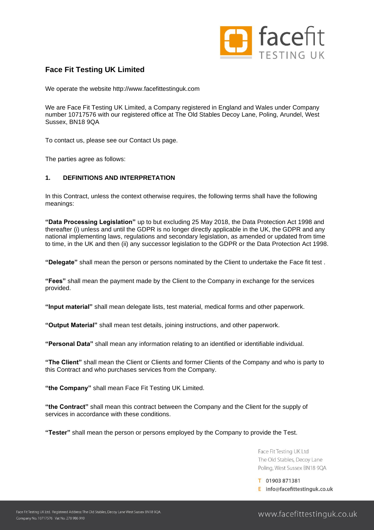

# **Face Fit Testing UK Limited**

We operate the website http://www.facefittestinguk.com

We are Face Fit Testing UK Limited, a Company registered in England and Wales under Company number 10717576 with our registered office at The Old Stables Decoy Lane, Poling, Arundel, West Sussex, BN18 9QA

To contact us, please see our Contact Us page.

The parties agree as follows:

# **1. DEFINITIONS AND INTERPRETATION**

In this Contract, unless the context otherwise requires, the following terms shall have the following meanings:

**"Data Processing Legislation"** up to but excluding 25 May 2018, the Data Protection Act 1998 and thereafter (i) unless and until the GDPR is no longer directly applicable in the UK, the GDPR and any national implementing laws, regulations and secondary legislation, as amended or updated from time to time, in the UK and then (ii) any successor legislation to the GDPR or the Data Protection Act 1998.

**"Delegate"** shall mean the person or persons nominated by the Client to undertake the Face fit test .

**"Fees"** shall mean the payment made by the Client to the Company in exchange for the services provided.

**"Input material"** shall mean delegate lists, test material, medical forms and other paperwork.

**"Output Material"** shall mean test details, joining instructions, and other paperwork.

**"Personal Data"** shall mean any information relating to an identified or identifiable individual.

**"The Client"** shall mean the Client or Clients and former Clients of the Company and who is party to this Contract and who purchases services from the Company.

**"the Company"** shall mean Face Fit Testing UK Limited.

**"the Contract"** shall mean this contract between the Company and the Client for the supply of services in accordance with these conditions.

**"Tester"** shall mean the person or persons employed by the Company to provide the Test.

Face Fit Testing UK Ltd The Old Stables, Decoy Lane Poling, West Sussex BN18 9QA

T 01903 871381 E info@facefittestinguk.co.uk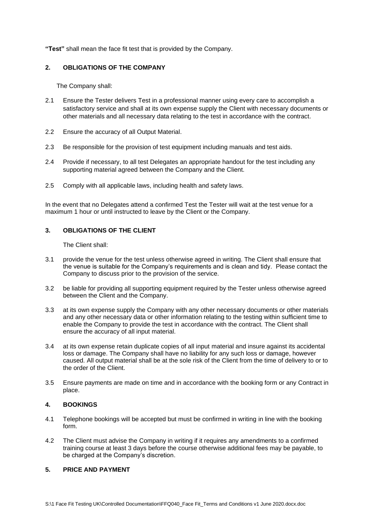**"Test"** shall mean the face fit test that is provided by the Company.

### **2. OBLIGATIONS OF THE COMPANY**

The Company shall:

- 2.1 Ensure the Tester delivers Test in a professional manner using every care to accomplish a satisfactory service and shall at its own expense supply the Client with necessary documents or other materials and all necessary data relating to the test in accordance with the contract.
- 2.2 Ensure the accuracy of all Output Material.
- 2.3 Be responsible for the provision of test equipment including manuals and test aids.
- 2.4 Provide if necessary, to all test Delegates an appropriate handout for the test including any supporting material agreed between the Company and the Client.
- 2.5 Comply with all applicable laws, including health and safety laws.

In the event that no Delegates attend a confirmed Test the Tester will wait at the test venue for a maximum 1 hour or until instructed to leave by the Client or the Company.

# **3. OBLIGATIONS OF THE CLIENT**

The Client shall:

- 3.1 provide the venue for the test unless otherwise agreed in writing. The Client shall ensure that the venue is suitable for the Company's requirements and is clean and tidy. Please contact the Company to discuss prior to the provision of the service.
- 3.2 be liable for providing all supporting equipment required by the Tester unless otherwise agreed between the Client and the Company.
- 3.3 at its own expense supply the Company with any other necessary documents or other materials and any other necessary data or other information relating to the testing within sufficient time to enable the Company to provide the test in accordance with the contract. The Client shall ensure the accuracy of all input material.
- 3.4 at its own expense retain duplicate copies of all input material and insure against its accidental loss or damage. The Company shall have no liability for any such loss or damage, however caused. All output material shall be at the sole risk of the Client from the time of delivery to or to the order of the Client.
- 3.5 Ensure payments are made on time and in accordance with the booking form or any Contract in place.

# **4. BOOKINGS**

- 4.1 Telephone bookings will be accepted but must be confirmed in writing in line with the booking form.
- 4.2 The Client must advise the Company in writing if it requires any amendments to a confirmed training course at least 3 days before the course otherwise additional fees may be payable, to be charged at the Company's discretion.

# **5. PRICE AND PAYMENT**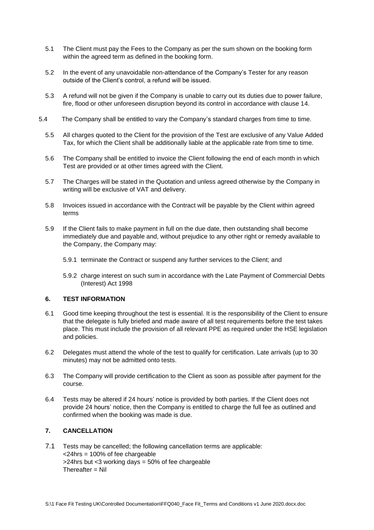- 5.1 The Client must pay the Fees to the Company as per the sum shown on the booking form within the agreed term as defined in the booking form.
- 5.2 In the event of any unavoidable non-attendance of the Company's Tester for any reason outside of the Client's control, a refund will be issued.
- 5.3 A refund will not be given if the Company is unable to carry out its duties due to power failure, fire, flood or other unforeseen disruption beyond its control in accordance with clause 14.
- 5.4 The Company shall be entitled to vary the Company's standard charges from time to time.
	- 5.5 All charges quoted to the Client for the provision of the Test are exclusive of any Value Added Tax, for which the Client shall be additionally liable at the applicable rate from time to time.
	- 5.6 The Company shall be entitled to invoice the Client following the end of each month in which Test are provided or at other times agreed with the Client.
	- 5.7 The Charges will be stated in the Quotation and unless agreed otherwise by the Company in writing will be exclusive of VAT and delivery.
	- 5.8 Invoices issued in accordance with the Contract will be payable by the Client within agreed terms
	- 5.9 If the Client fails to make payment in full on the due date, then outstanding shall become immediately due and payable and, without prejudice to any other right or remedy available to the Company, the Company may:
		- 5.9.1 terminate the Contract or suspend any further services to the Client; and
		- 5.9.2 charge interest on such sum in accordance with the Late Payment of Commercial Debts (Interest) Act 1998

# **6. TEST INFORMATION**

- 6.1 Good time keeping throughout the test is essential. It is the responsibility of the Client to ensure that the delegate is fully briefed and made aware of all test requirements before the test takes place. This must include the provision of all relevant PPE as required under the HSE legislation and policies.
- 6.2 Delegates must attend the whole of the test to qualify for certification. Late arrivals (up to 30 minutes) may not be admitted onto tests.
- 6.3 The Company will provide certification to the Client as soon as possible after payment for the course.
- 6.4 Tests may be altered if 24 hours' notice is provided by both parties. If the Client does not provide 24 hours' notice, then the Company is entitled to charge the full fee as outlined and confirmed when the booking was made is due.

# **7. CANCELLATION**

7.1 Tests may be cancelled; the following cancellation terms are applicable:  $\langle$ -24hrs = 100% of fee chargeable >24hrs but <3 working days = 50% of fee chargeable  $Therefore = Nil$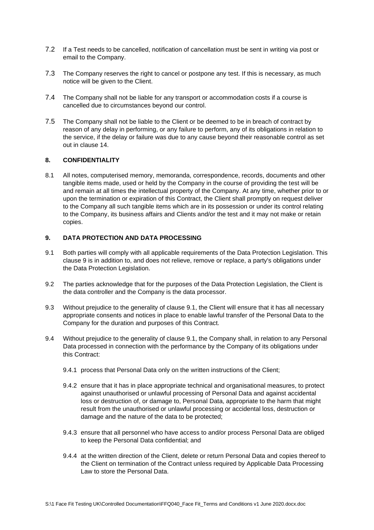- 7.2 If a Test needs to be cancelled, notification of cancellation must be sent in writing via post or email to the Company.
- 7.3 The Company reserves the right to cancel or postpone any test. If this is necessary, as much notice will be given to the Client.
- 7.4 The Company shall not be liable for any transport or accommodation costs if a course is cancelled due to circumstances beyond our control.
- 7.5 The Company shall not be liable to the Client or be deemed to be in breach of contract by reason of any delay in performing, or any failure to perform, any of its obligations in relation to the service, if the delay or failure was due to any cause beyond their reasonable control as set out in clause 14.

# **8. CONFIDENTIALITY**

8.1 All notes, computerised memory, memoranda, correspondence, records, documents and other tangible items made, used or held by the Company in the course of providing the test will be and remain at all times the intellectual property of the Company. At any time, whether prior to or upon the termination or expiration of this Contract, the Client shall promptly on request deliver to the Company all such tangible items which are in its possession or under its control relating to the Company, its business affairs and Clients and/or the test and it may not make or retain copies.

### **9. DATA PROTECTION AND DATA PROCESSING**

- 9.1 Both parties will comply with all applicable requirements of the Data Protection Legislation. This clause 9 is in addition to, and does not relieve, remove or replace, a party's obligations under the Data Protection Legislation.
- 9.2 The parties acknowledge that for the purposes of the Data Protection Legislation, the Client is the data controller and the Company is the data processor.
- 9.3 Without prejudice to the generality of clause 9.1, the Client will ensure that it has all necessary appropriate consents and notices in place to enable lawful transfer of the Personal Data to the Company for the duration and purposes of this Contract.
- 9.4 Without prejudice to the generality of clause 9.1, the Company shall, in relation to any Personal Data processed in connection with the performance by the Company of its obligations under this Contract:
	- 9.4.1 process that Personal Data only on the written instructions of the Client;
	- 9.4.2 ensure that it has in place appropriate technical and organisational measures, to protect against unauthorised or unlawful processing of Personal Data and against accidental loss or destruction of, or damage to, Personal Data, appropriate to the harm that might result from the unauthorised or unlawful processing or accidental loss, destruction or damage and the nature of the data to be protected;
	- 9.4.3 ensure that all personnel who have access to and/or process Personal Data are obliged to keep the Personal Data confidential; and
	- 9.4.4 at the written direction of the Client, delete or return Personal Data and copies thereof to the Client on termination of the Contract unless required by Applicable Data Processing Law to store the Personal Data.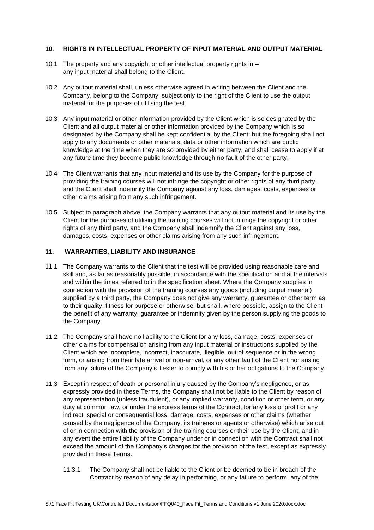### **10. RIGHTS IN INTELLECTUAL PROPERTY OF INPUT MATERIAL AND OUTPUT MATERIAL**

- 10.1 The property and any copyright or other intellectual property rights in any input material shall belong to the Client.
- 10.2 Any output material shall, unless otherwise agreed in writing between the Client and the Company, belong to the Company, subject only to the right of the Client to use the output material for the purposes of utilising the test.
- 10.3 Any input material or other information provided by the Client which is so designated by the Client and all output material or other information provided by the Company which is so designated by the Company shall be kept confidential by the Client; but the foregoing shall not apply to any documents or other materials, data or other information which are public knowledge at the time when they are so provided by either party, and shall cease to apply if at any future time they become public knowledge through no fault of the other party.
- 10.4 The Client warrants that any input material and its use by the Company for the purpose of providing the training courses will not infringe the copyright or other rights of any third party, and the Client shall indemnify the Company against any loss, damages, costs, expenses or other claims arising from any such infringement.
- 10.5 Subject to paragraph above, the Company warrants that any output material and its use by the Client for the purposes of utilising the training courses will not infringe the copyright or other rights of any third party, and the Company shall indemnify the Client against any loss, damages, costs, expenses or other claims arising from any such infringement.

# **11. WARRANTIES, LIABILITY AND INSURANCE**

- 11.1 The Company warrants to the Client that the test will be provided using reasonable care and skill and, as far as reasonably possible, in accordance with the specification and at the intervals and within the times referred to in the specification sheet. Where the Company supplies in connection with the provision of the training courses any goods (including output material) supplied by a third party, the Company does not give any warranty, guarantee or other term as to their quality, fitness for purpose or otherwise, but shall, where possible, assign to the Client the benefit of any warranty, guarantee or indemnity given by the person supplying the goods to the Company.
- 11.2 The Company shall have no liability to the Client for any loss, damage, costs, expenses or other claims for compensation arising from any input material or instructions supplied by the Client which are incomplete, incorrect, inaccurate, illegible, out of sequence or in the wrong form, or arising from their late arrival or non-arrival, or any other fault of the Client nor arising from any failure of the Company's Tester to comply with his or her obligations to the Company.
- 11.3 Except in respect of death or personal injury caused by the Company's negligence, or as expressly provided in these Terms, the Company shall not be liable to the Client by reason of any representation (unless fraudulent), or any implied warranty, condition or other term, or any duty at common law, or under the express terms of the Contract, for any loss of profit or any indirect, special or consequential loss, damage, costs, expenses or other claims (whether caused by the negligence of the Company, its trainees or agents or otherwise) which arise out of or in connection with the provision of the training courses or their use by the Client, and in any event the entire liability of the Company under or in connection with the Contract shall not exceed the amount of the Company's charges for the provision of the test, except as expressly provided in these Terms.
	- 11.3.1 The Company shall not be liable to the Client or be deemed to be in breach of the Contract by reason of any delay in performing, or any failure to perform, any of the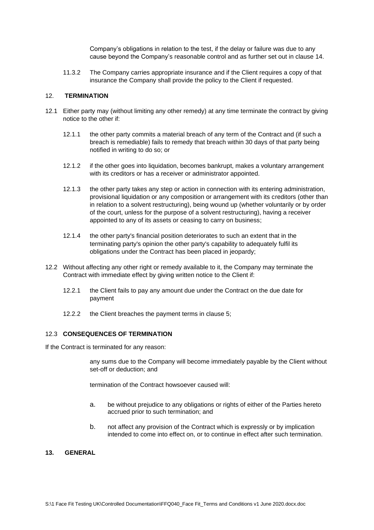Company's obligations in relation to the test, if the delay or failure was due to any cause beyond the Company's reasonable control and as further set out in clause 14.

11.3.2 The Company carries appropriate insurance and if the Client requires a copy of that insurance the Company shall provide the policy to the Client if requested.

#### 12. **TERMINATION**

- 12.1 Either party may (without limiting any other remedy) at any time terminate the contract by giving notice to the other if:
	- 12.1.1 the other party commits a material breach of any term of the Contract and (if such a breach is remediable) fails to remedy that breach within 30 days of that party being notified in writing to do so; or
	- 12.1.2 if the other goes into liquidation, becomes bankrupt, makes a voluntary arrangement with its creditors or has a receiver or administrator appointed.
	- 12.1.3 the other party takes any step or action in connection with its entering administration, provisional liquidation or any composition or arrangement with its creditors (other than in relation to a solvent restructuring), being wound up (whether voluntarily or by order of the court, unless for the purpose of a solvent restructuring), having a receiver appointed to any of its assets or ceasing to carry on business;
	- 12.1.4 the other party's financial position deteriorates to such an extent that in the terminating party's opinion the other party's capability to adequately fulfil its obligations under the Contract has been placed in jeopardy;
- 12.2 Without affecting any other right or remedy available to it, the Company may terminate the Contract with immediate effect by giving written notice to the Client if:
	- 12.2.1 the Client fails to pay any amount due under the Contract on the due date for payment
	- 12.2.2 the Client breaches the payment terms in clause 5;

#### 12.3 **CONSEQUENCES OF TERMINATION**

If the Contract is terminated for any reason:

any sums due to the Company will become immediately payable by the Client without set-off or deduction; and

termination of the Contract howsoever caused will:

- a. be without prejudice to any obligations or rights of either of the Parties hereto accrued prior to such termination; and
- b. not affect any provision of the Contract which is expressly or by implication intended to come into effect on, or to continue in effect after such termination.

### **13. GENERAL**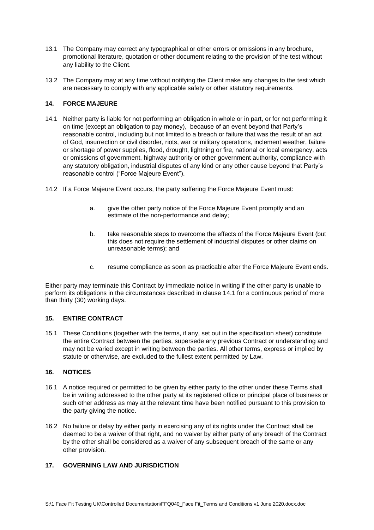- 13.1 The Company may correct any typographical or other errors or omissions in any brochure, promotional literature, quotation or other document relating to the provision of the test without any liability to the Client.
- 13.2 The Company may at any time without notifying the Client make any changes to the test which are necessary to comply with any applicable safety or other statutory requirements.

# **14. FORCE MAJEURE**

- 14.1 Neither party is liable for not performing an obligation in whole or in part, or for not performing it on time (except an obligation to pay money), because of an event beyond that Party's reasonable control, including but not limited to a breach or failure that was the result of an act of God, insurrection or civil disorder, riots, war or military operations, inclement weather, failure or shortage of power supplies, flood, drought, lightning or fire, national or local emergency, acts or omissions of government, highway authority or other government authority, compliance with any statutory obligation, industrial disputes of any kind or any other cause beyond that Party's reasonable control ("Force Majeure Event").
- 14.2 If a Force Majeure Event occurs, the party suffering the Force Majeure Event must:
	- a. give the other party notice of the Force Majeure Event promptly and an estimate of the non-performance and delay;
	- b. take reasonable steps to overcome the effects of the Force Majeure Event (but this does not require the settlement of industrial disputes or other claims on unreasonable terms); and
	- c. resume compliance as soon as practicable after the Force Majeure Event ends.

Either party may terminate this Contract by immediate notice in writing if the other party is unable to perform its obligations in the circumstances described in clause 14.1 for a continuous period of more than thirty (30) working days.

# **15. ENTIRE CONTRACT**

15.1 These Conditions (together with the terms, if any, set out in the specification sheet) constitute the entire Contract between the parties, supersede any previous Contract or understanding and may not be varied except in writing between the parties. All other terms, express or implied by statute or otherwise, are excluded to the fullest extent permitted by Law.

#### **16. NOTICES**

- 16.1 A notice required or permitted to be given by either party to the other under these Terms shall be in writing addressed to the other party at its registered office or principal place of business or such other address as may at the relevant time have been notified pursuant to this provision to the party giving the notice.
- 16.2 No failure or delay by either party in exercising any of its rights under the Contract shall be deemed to be a waiver of that right, and no waiver by either party of any breach of the Contract by the other shall be considered as a waiver of any subsequent breach of the same or any other provision.

### **17. GOVERNING LAW AND JURISDICTION**